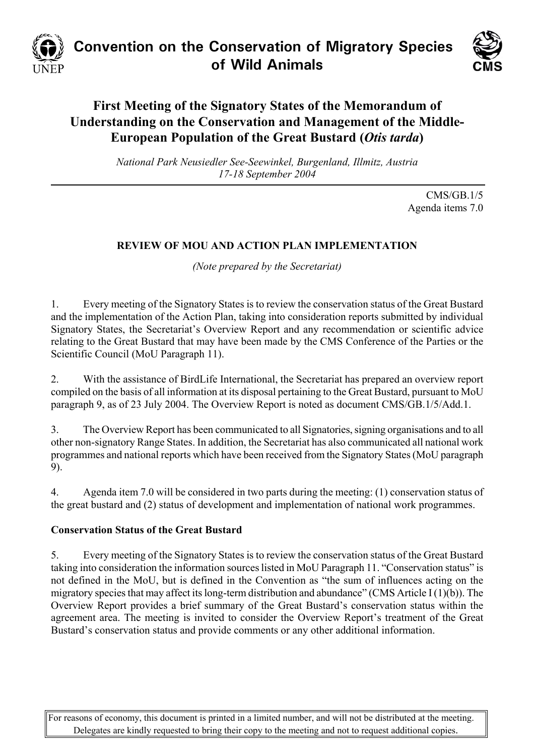

# **Convention on the Conservation of Migratory Species of Wild Animals**



# **First Meeting of the Signatory States of the Memorandum of Understanding on the Conservation and Management of the Middle-European Population of the Great Bustard (***Otis tarda***)**

*National Park Neusiedler See-Seewinkel, Burgenland, Illmitz, Austria 17-18 September 2004* 

> CMS/GB.1/5 Agenda items 7.0

## **REVIEW OF MOU AND ACTION PLAN IMPLEMENTATION**

*(Note prepared by the Secretariat)*

1. Every meeting of the Signatory States is to review the conservation status of the Great Bustard and the implementation of the Action Plan, taking into consideration reports submitted by individual Signatory States, the Secretariat's Overview Report and any recommendation or scientific advice relating to the Great Bustard that may have been made by the CMS Conference of the Parties or the Scientific Council (MoU Paragraph 11).

2. With the assistance of BirdLife International, the Secretariat has prepared an overview report compiled on the basis of all information at its disposal pertaining to the Great Bustard, pursuant to MoU paragraph 9, as of 23 July 2004. The Overview Report is noted as document CMS/GB.1/5/Add.1.

3. The Overview Report has been communicated to all Signatories, signing organisations and to all other non-signatory Range States. In addition, the Secretariat has also communicated all national work programmes and national reports which have been received from the Signatory States (MoU paragraph 9).

4. Agenda item 7.0 will be considered in two parts during the meeting: (1) conservation status of the great bustard and (2) status of development and implementation of national work programmes.

#### **Conservation Status of the Great Bustard**

5. Every meeting of the Signatory States is to review the conservation status of the Great Bustard taking into consideration the information sources listed in MoU Paragraph 11. "Conservation status" is not defined in the MoU, but is defined in the Convention as "the sum of influences acting on the migratory species that may affect its long-term distribution and abundance" (CMS Article I (1)(b)). The Overview Report provides a brief summary of the Great Bustard's conservation status within the agreement area. The meeting is invited to consider the Overview Report's treatment of the Great Bustard's conservation status and provide comments or any other additional information.

For reasons of economy, this document is printed in a limited number, and will not be distributed at the meeting. Delegates are kindly requested to bring their copy to the meeting and not to request additional copies.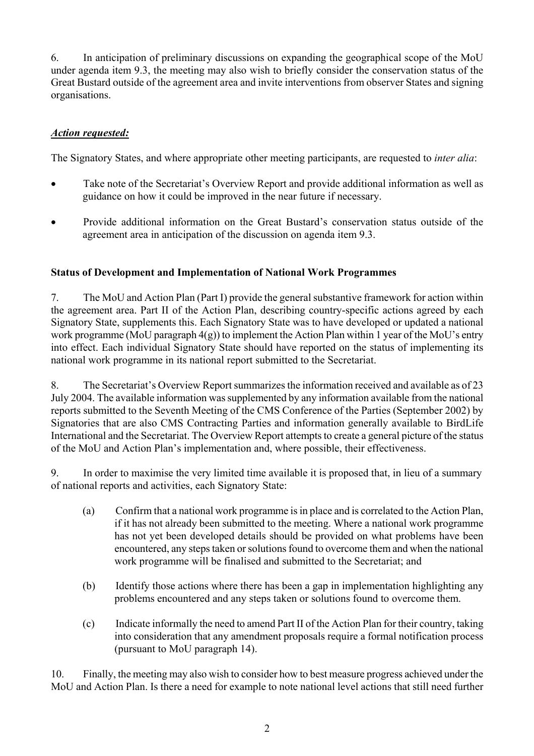6. In anticipation of preliminary discussions on expanding the geographical scope of the MoU under agenda item 9.3, the meeting may also wish to briefly consider the conservation status of the Great Bustard outside of the agreement area and invite interventions from observer States and signing organisations.

## *Action requested:*

The Signatory States, and where appropriate other meeting participants, are requested to *inter alia*:

- Take note of the Secretariat's Overview Report and provide additional information as well as guidance on how it could be improved in the near future if necessary.
- Provide additional information on the Great Bustard's conservation status outside of the agreement area in anticipation of the discussion on agenda item 9.3.

#### **Status of Development and Implementation of National Work Programmes**

7. The MoU and Action Plan (Part I) provide the general substantive framework for action within the agreement area. Part II of the Action Plan, describing country-specific actions agreed by each Signatory State, supplements this. Each Signatory State was to have developed or updated a national work programme (MoU paragraph 4(g)) to implement the Action Plan within 1 year of the MoU's entry into effect. Each individual Signatory State should have reported on the status of implementing its national work programme in its national report submitted to the Secretariat.

8. The Secretariat's Overview Report summarizes the information received and available as of 23 July 2004. The available information was supplemented by any information available from the national reports submitted to the Seventh Meeting of the CMS Conference of the Parties (September 2002) by Signatories that are also CMS Contracting Parties and information generally available to BirdLife International and the Secretariat. The Overview Report attempts to create a general picture of the status of the MoU and Action Plan's implementation and, where possible, their effectiveness.

9. In order to maximise the very limited time available it is proposed that, in lieu of a summary of national reports and activities, each Signatory State:

- (a) Confirm that a national work programme is in place and is correlated to the Action Plan, if it has not already been submitted to the meeting. Where a national work programme has not yet been developed details should be provided on what problems have been encountered, any steps taken or solutions found to overcome them and when the national work programme will be finalised and submitted to the Secretariat; and
- (b) Identify those actions where there has been a gap in implementation highlighting any problems encountered and any steps taken or solutions found to overcome them.
- (c) Indicate informally the need to amend Part II of the Action Plan for their country, taking into consideration that any amendment proposals require a formal notification process (pursuant to MoU paragraph 14).

10. Finally, the meeting may also wish to consider how to best measure progress achieved under the MoU and Action Plan. Is there a need for example to note national level actions that still need further